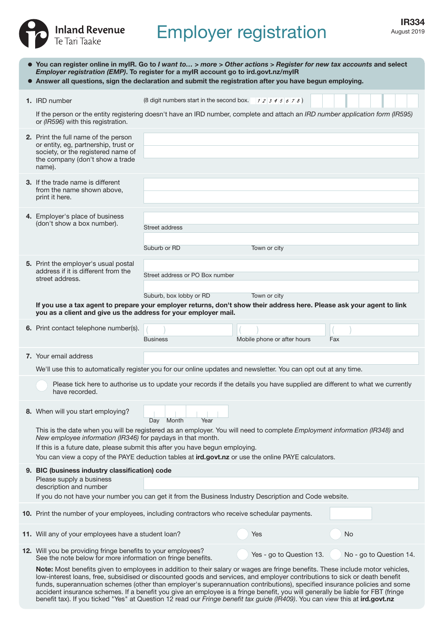

# IR334 IR334

|                                                                                                                                                                                                                                                                                                                                                                                 | • You can register online in myIR. Go to I want to > more > Other actions > Register for new tax accounts and select<br>Employer registration (EMP). To register for a myIR account go to ird.govt.nz/myIR<br>• Answer all questions, sign the declaration and submit the registration after you have begun employing.                                                                                                                                                                                                                                                                                                                                       |                                                        |                             |                         |  |  |
|---------------------------------------------------------------------------------------------------------------------------------------------------------------------------------------------------------------------------------------------------------------------------------------------------------------------------------------------------------------------------------|--------------------------------------------------------------------------------------------------------------------------------------------------------------------------------------------------------------------------------------------------------------------------------------------------------------------------------------------------------------------------------------------------------------------------------------------------------------------------------------------------------------------------------------------------------------------------------------------------------------------------------------------------------------|--------------------------------------------------------|-----------------------------|-------------------------|--|--|
|                                                                                                                                                                                                                                                                                                                                                                                 | 1. IRD number                                                                                                                                                                                                                                                                                                                                                                                                                                                                                                                                                                                                                                                | (8 digit numbers start in the second box. $12345678$ ) |                             |                         |  |  |
|                                                                                                                                                                                                                                                                                                                                                                                 | If the person or the entity registering doesn't have an IRD number, complete and attach an IRD number application form (IR595)<br>or (IR596) with this registration.                                                                                                                                                                                                                                                                                                                                                                                                                                                                                         |                                                        |                             |                         |  |  |
|                                                                                                                                                                                                                                                                                                                                                                                 | 2. Print the full name of the person<br>or entity, eg, partnership, trust or<br>society, or the registered name of<br>the company (don't show a trade<br>name).                                                                                                                                                                                                                                                                                                                                                                                                                                                                                              |                                                        |                             |                         |  |  |
|                                                                                                                                                                                                                                                                                                                                                                                 | <b>3.</b> If the trade name is different<br>from the name shown above,<br>print it here.                                                                                                                                                                                                                                                                                                                                                                                                                                                                                                                                                                     |                                                        |                             |                         |  |  |
|                                                                                                                                                                                                                                                                                                                                                                                 | 4. Employer's place of business<br>(don't show a box number).                                                                                                                                                                                                                                                                                                                                                                                                                                                                                                                                                                                                | Street address                                         |                             |                         |  |  |
|                                                                                                                                                                                                                                                                                                                                                                                 |                                                                                                                                                                                                                                                                                                                                                                                                                                                                                                                                                                                                                                                              | Suburb or RD                                           | Town or city                |                         |  |  |
|                                                                                                                                                                                                                                                                                                                                                                                 | 5. Print the employer's usual postal<br>address if it is different from the<br>street address.                                                                                                                                                                                                                                                                                                                                                                                                                                                                                                                                                               | Street address or PO Box number                        |                             |                         |  |  |
|                                                                                                                                                                                                                                                                                                                                                                                 | If you use a tax agent to prepare your employer returns, don't show their address here. Please ask your agent to link<br>you as a client and give us the address for your employer mail.                                                                                                                                                                                                                                                                                                                                                                                                                                                                     | Suburb, box lobby or RD                                | Town or city                |                         |  |  |
|                                                                                                                                                                                                                                                                                                                                                                                 | 6. Print contact telephone number(s).                                                                                                                                                                                                                                                                                                                                                                                                                                                                                                                                                                                                                        | <b>Business</b>                                        | Mobile phone or after hours | Fax                     |  |  |
|                                                                                                                                                                                                                                                                                                                                                                                 | 7. Your email address                                                                                                                                                                                                                                                                                                                                                                                                                                                                                                                                                                                                                                        |                                                        |                             |                         |  |  |
|                                                                                                                                                                                                                                                                                                                                                                                 | We'll use this to automatically register you for our online updates and newsletter. You can opt out at any time.                                                                                                                                                                                                                                                                                                                                                                                                                                                                                                                                             |                                                        |                             |                         |  |  |
|                                                                                                                                                                                                                                                                                                                                                                                 | Please tick here to authorise us to update your records if the details you have supplied are different to what we currently<br>have recorded.                                                                                                                                                                                                                                                                                                                                                                                                                                                                                                                |                                                        |                             |                         |  |  |
|                                                                                                                                                                                                                                                                                                                                                                                 | 8. When will you start employing?                                                                                                                                                                                                                                                                                                                                                                                                                                                                                                                                                                                                                            | Year<br>Day<br>Month                                   |                             |                         |  |  |
| This is the date when you will be registered as an employer. You will need to complete Employment information (IR348) and<br>New employee information (IR346) for paydays in that month.<br>If this is a future date, please submit this after you have begun employing.<br>You can view a copy of the PAYE deduction tables at ird.govt.nz or use the online PAYE calculators. |                                                                                                                                                                                                                                                                                                                                                                                                                                                                                                                                                                                                                                                              |                                                        |                             |                         |  |  |
|                                                                                                                                                                                                                                                                                                                                                                                 |                                                                                                                                                                                                                                                                                                                                                                                                                                                                                                                                                                                                                                                              | 9. BIC (business industry classification) code         |                             |                         |  |  |
|                                                                                                                                                                                                                                                                                                                                                                                 | Please supply a business<br>description and number                                                                                                                                                                                                                                                                                                                                                                                                                                                                                                                                                                                                           |                                                        |                             |                         |  |  |
|                                                                                                                                                                                                                                                                                                                                                                                 | If you do not have your number you can get it from the Business Industry Description and Code website.                                                                                                                                                                                                                                                                                                                                                                                                                                                                                                                                                       |                                                        |                             |                         |  |  |
|                                                                                                                                                                                                                                                                                                                                                                                 | 10. Print the number of your employees, including contractors who receive schedular payments.                                                                                                                                                                                                                                                                                                                                                                                                                                                                                                                                                                |                                                        |                             |                         |  |  |
|                                                                                                                                                                                                                                                                                                                                                                                 | 11. Will any of your employees have a student loan?                                                                                                                                                                                                                                                                                                                                                                                                                                                                                                                                                                                                          |                                                        | Yes                         | No                      |  |  |
|                                                                                                                                                                                                                                                                                                                                                                                 | 12. Will you be providing fringe benefits to your employees?<br>See the note below for more information on fringe benefits.                                                                                                                                                                                                                                                                                                                                                                                                                                                                                                                                  |                                                        | Yes - go to Question 13.    | No - go to Question 14. |  |  |
|                                                                                                                                                                                                                                                                                                                                                                                 | Note: Most benefits given to employees in addition to their salary or wages are fringe benefits. These include motor vehicles,<br>low-interest loans, free, subsidised or discounted goods and services, and employer contributions to sick or death benefit<br>funds, superannuation schemes (other than employer's superannuation contributions), specified insurance policies and some<br>accident insurance schemes. If a benefit you give an employee is a fringe benefit, you will generally be liable for FBT (fringe<br>benefit tax). If you ticked "Yes" at Question 12 read our Fringe benefit tax guide (IR409). You can view this at ird.govt.nz |                                                        |                             |                         |  |  |